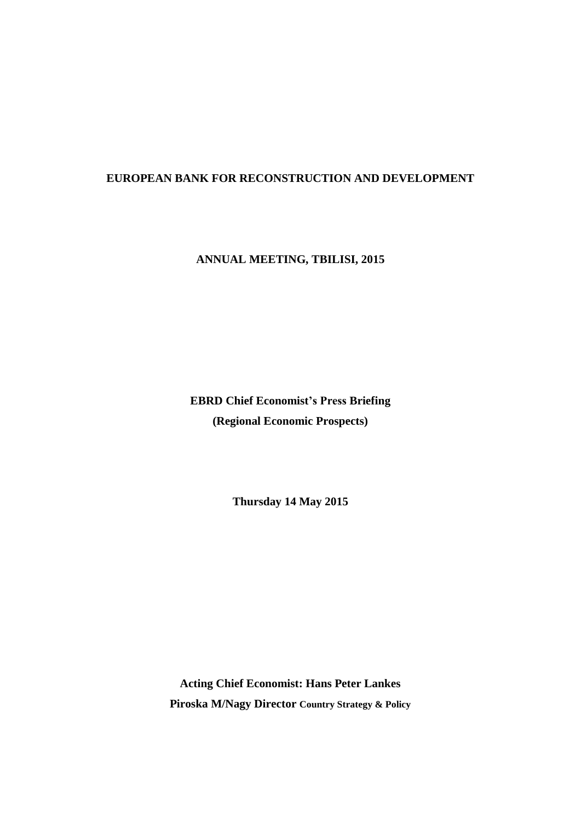## **EUROPEAN BANK FOR RECONSTRUCTION AND DEVELOPMENT**

**ANNUAL MEETING, TBILISI, 2015**

**EBRD Chief Economist's Press Briefing (Regional Economic Prospects)**

**Thursday 14 May 2015**

**Acting Chief Economist: Hans Peter Lankes Piroska M/Nagy Director Country Strategy & Policy**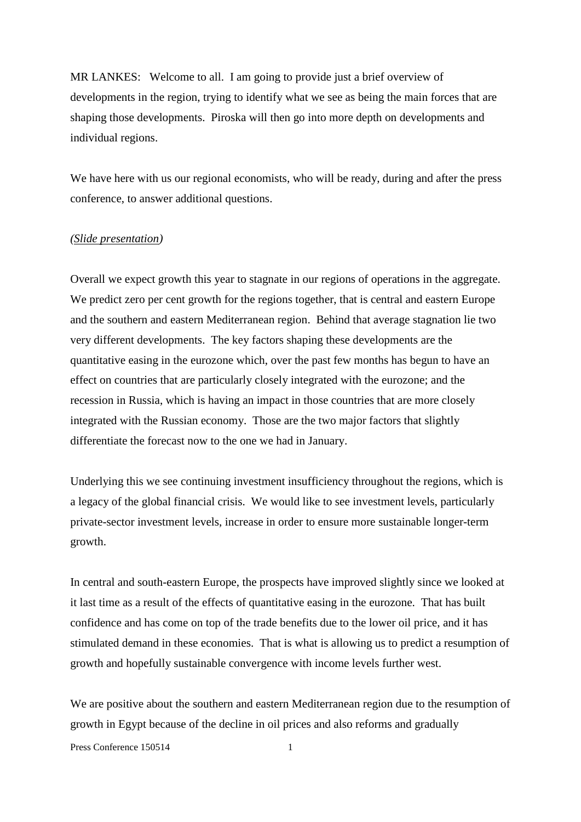MR LANKES: Welcome to all. I am going to provide just a brief overview of developments in the region, trying to identify what we see as being the main forces that are shaping those developments. Piroska will then go into more depth on developments and individual regions.

We have here with us our regional economists, who will be ready, during and after the press conference, to answer additional questions.

## *(Slide presentation)*

Overall we expect growth this year to stagnate in our regions of operations in the aggregate. We predict zero per cent growth for the regions together, that is central and eastern Europe and the southern and eastern Mediterranean region. Behind that average stagnation lie two very different developments. The key factors shaping these developments are the quantitative easing in the eurozone which, over the past few months has begun to have an effect on countries that are particularly closely integrated with the eurozone; and the recession in Russia, which is having an impact in those countries that are more closely integrated with the Russian economy. Those are the two major factors that slightly differentiate the forecast now to the one we had in January.

Underlying this we see continuing investment insufficiency throughout the regions, which is a legacy of the global financial crisis. We would like to see investment levels, particularly private-sector investment levels, increase in order to ensure more sustainable longer-term growth.

In central and south-eastern Europe, the prospects have improved slightly since we looked at it last time as a result of the effects of quantitative easing in the eurozone. That has built confidence and has come on top of the trade benefits due to the lower oil price, and it has stimulated demand in these economies. That is what is allowing us to predict a resumption of growth and hopefully sustainable convergence with income levels further west.

We are positive about the southern and eastern Mediterranean region due to the resumption of growth in Egypt because of the decline in oil prices and also reforms and gradually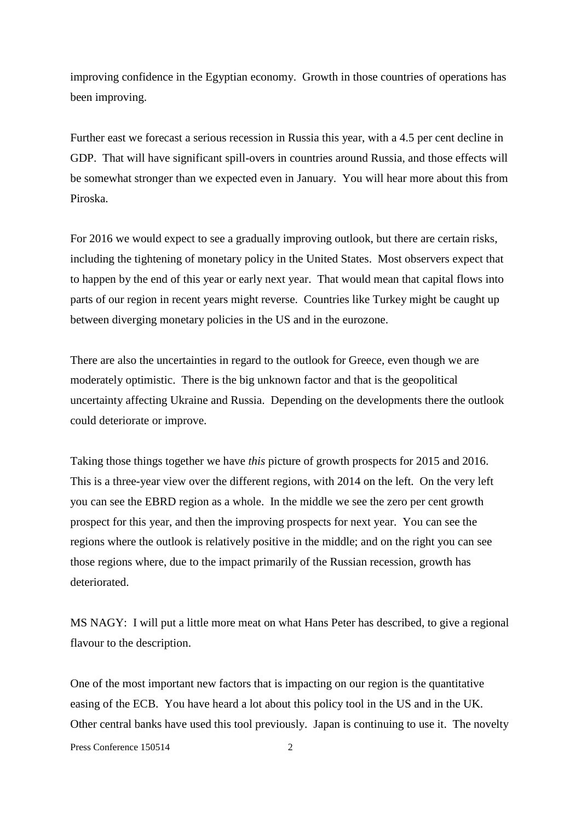improving confidence in the Egyptian economy. Growth in those countries of operations has been improving.

Further east we forecast a serious recession in Russia this year, with a 4.5 per cent decline in GDP. That will have significant spill-overs in countries around Russia, and those effects will be somewhat stronger than we expected even in January. You will hear more about this from Piroska.

For 2016 we would expect to see a gradually improving outlook, but there are certain risks, including the tightening of monetary policy in the United States. Most observers expect that to happen by the end of this year or early next year. That would mean that capital flows into parts of our region in recent years might reverse. Countries like Turkey might be caught up between diverging monetary policies in the US and in the eurozone.

There are also the uncertainties in regard to the outlook for Greece, even though we are moderately optimistic. There is the big unknown factor and that is the geopolitical uncertainty affecting Ukraine and Russia. Depending on the developments there the outlook could deteriorate or improve.

Taking those things together we have *this* picture of growth prospects for 2015 and 2016. This is a three-year view over the different regions, with 2014 on the left. On the very left you can see the EBRD region as a whole. In the middle we see the zero per cent growth prospect for this year, and then the improving prospects for next year. You can see the regions where the outlook is relatively positive in the middle; and on the right you can see those regions where, due to the impact primarily of the Russian recession, growth has deteriorated.

MS NAGY: I will put a little more meat on what Hans Peter has described, to give a regional flavour to the description.

One of the most important new factors that is impacting on our region is the quantitative easing of the ECB. You have heard a lot about this policy tool in the US and in the UK. Other central banks have used this tool previously. Japan is continuing to use it. The novelty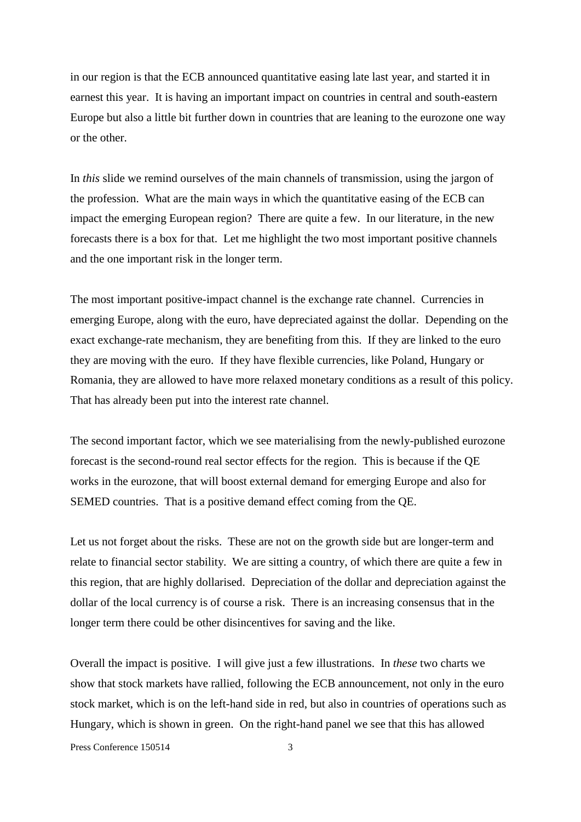in our region is that the ECB announced quantitative easing late last year, and started it in earnest this year. It is having an important impact on countries in central and south-eastern Europe but also a little bit further down in countries that are leaning to the eurozone one way or the other.

In *this* slide we remind ourselves of the main channels of transmission, using the jargon of the profession. What are the main ways in which the quantitative easing of the ECB can impact the emerging European region? There are quite a few. In our literature, in the new forecasts there is a box for that. Let me highlight the two most important positive channels and the one important risk in the longer term.

The most important positive-impact channel is the exchange rate channel. Currencies in emerging Europe, along with the euro, have depreciated against the dollar. Depending on the exact exchange-rate mechanism, they are benefiting from this. If they are linked to the euro they are moving with the euro. If they have flexible currencies, like Poland, Hungary or Romania, they are allowed to have more relaxed monetary conditions as a result of this policy. That has already been put into the interest rate channel.

The second important factor, which we see materialising from the newly-published eurozone forecast is the second-round real sector effects for the region. This is because if the QE works in the eurozone, that will boost external demand for emerging Europe and also for SEMED countries. That is a positive demand effect coming from the QE.

Let us not forget about the risks. These are not on the growth side but are longer-term and relate to financial sector stability. We are sitting a country, of which there are quite a few in this region, that are highly dollarised. Depreciation of the dollar and depreciation against the dollar of the local currency is of course a risk. There is an increasing consensus that in the longer term there could be other disincentives for saving and the like.

Overall the impact is positive. I will give just a few illustrations. In *these* two charts we show that stock markets have rallied, following the ECB announcement, not only in the euro stock market, which is on the left-hand side in red, but also in countries of operations such as Hungary, which is shown in green. On the right-hand panel we see that this has allowed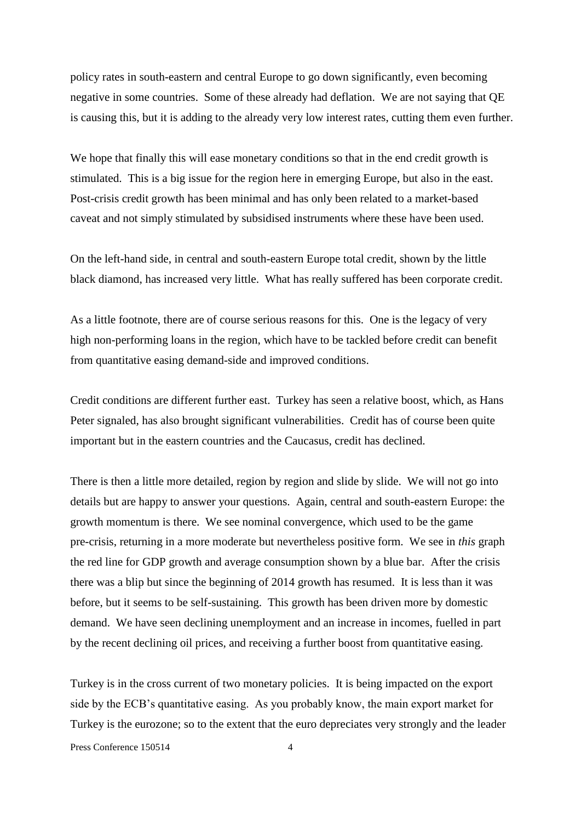policy rates in south-eastern and central Europe to go down significantly, even becoming negative in some countries. Some of these already had deflation. We are not saying that QE is causing this, but it is adding to the already very low interest rates, cutting them even further.

We hope that finally this will ease monetary conditions so that in the end credit growth is stimulated. This is a big issue for the region here in emerging Europe, but also in the east. Post-crisis credit growth has been minimal and has only been related to a market-based caveat and not simply stimulated by subsidised instruments where these have been used.

On the left-hand side, in central and south-eastern Europe total credit, shown by the little black diamond, has increased very little. What has really suffered has been corporate credit.

As a little footnote, there are of course serious reasons for this. One is the legacy of very high non-performing loans in the region, which have to be tackled before credit can benefit from quantitative easing demand-side and improved conditions.

Credit conditions are different further east. Turkey has seen a relative boost, which, as Hans Peter signaled, has also brought significant vulnerabilities. Credit has of course been quite important but in the eastern countries and the Caucasus, credit has declined.

There is then a little more detailed, region by region and slide by slide. We will not go into details but are happy to answer your questions. Again, central and south-eastern Europe: the growth momentum is there. We see nominal convergence, which used to be the game pre-crisis, returning in a more moderate but nevertheless positive form. We see in *this* graph the red line for GDP growth and average consumption shown by a blue bar. After the crisis there was a blip but since the beginning of 2014 growth has resumed. It is less than it was before, but it seems to be self-sustaining. This growth has been driven more by domestic demand. We have seen declining unemployment and an increase in incomes, fuelled in part by the recent declining oil prices, and receiving a further boost from quantitative easing.

Turkey is in the cross current of two monetary policies. It is being impacted on the export side by the ECB's quantitative easing. As you probably know, the main export market for Turkey is the eurozone; so to the extent that the euro depreciates very strongly and the leader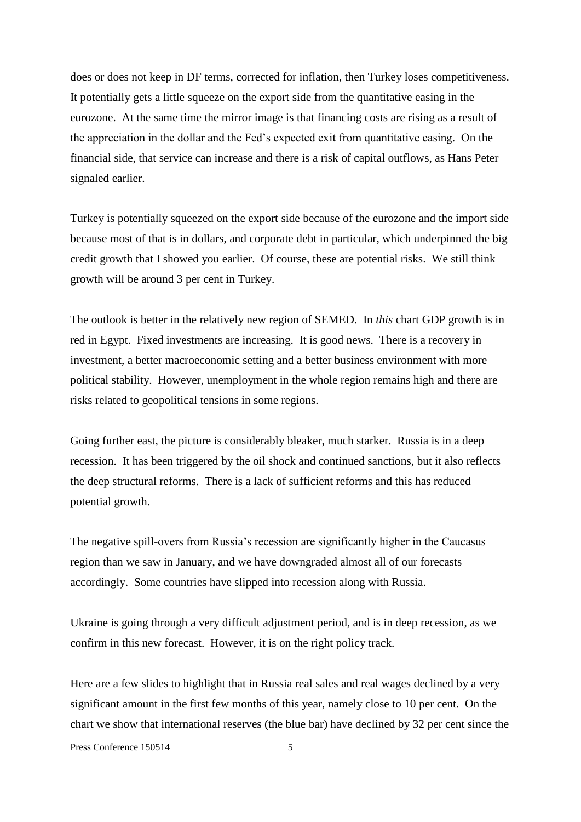does or does not keep in DF terms, corrected for inflation, then Turkey loses competitiveness. It potentially gets a little squeeze on the export side from the quantitative easing in the eurozone. At the same time the mirror image is that financing costs are rising as a result of the appreciation in the dollar and the Fed's expected exit from quantitative easing. On the financial side, that service can increase and there is a risk of capital outflows, as Hans Peter signaled earlier.

Turkey is potentially squeezed on the export side because of the eurozone and the import side because most of that is in dollars, and corporate debt in particular, which underpinned the big credit growth that I showed you earlier. Of course, these are potential risks. We still think growth will be around 3 per cent in Turkey.

The outlook is better in the relatively new region of SEMED. In *this* chart GDP growth is in red in Egypt. Fixed investments are increasing. It is good news. There is a recovery in investment, a better macroeconomic setting and a better business environment with more political stability. However, unemployment in the whole region remains high and there are risks related to geopolitical tensions in some regions.

Going further east, the picture is considerably bleaker, much starker. Russia is in a deep recession. It has been triggered by the oil shock and continued sanctions, but it also reflects the deep structural reforms. There is a lack of sufficient reforms and this has reduced potential growth.

The negative spill-overs from Russia's recession are significantly higher in the Caucasus region than we saw in January, and we have downgraded almost all of our forecasts accordingly. Some countries have slipped into recession along with Russia.

Ukraine is going through a very difficult adjustment period, and is in deep recession, as we confirm in this new forecast. However, it is on the right policy track.

Here are a few slides to highlight that in Russia real sales and real wages declined by a very significant amount in the first few months of this year, namely close to 10 per cent. On the chart we show that international reserves (the blue bar) have declined by 32 per cent since the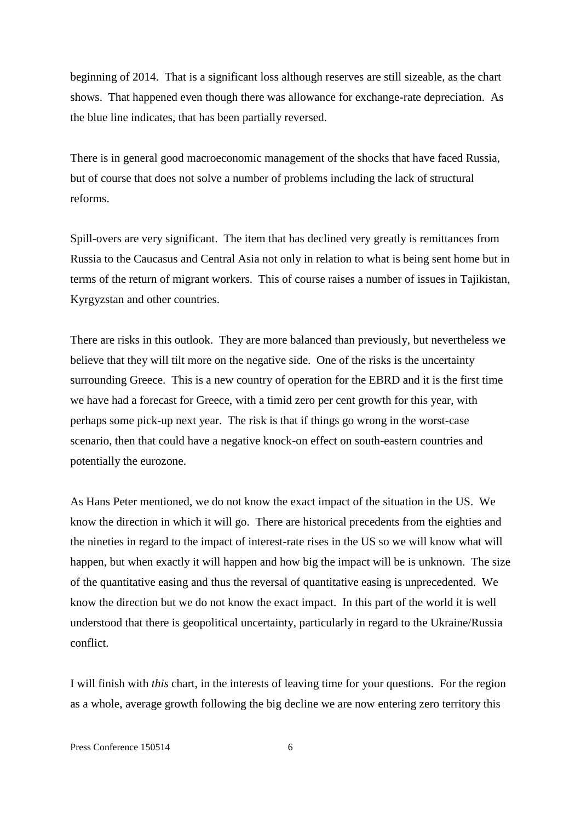beginning of 2014. That is a significant loss although reserves are still sizeable, as the chart shows. That happened even though there was allowance for exchange-rate depreciation. As the blue line indicates, that has been partially reversed.

There is in general good macroeconomic management of the shocks that have faced Russia, but of course that does not solve a number of problems including the lack of structural reforms.

Spill-overs are very significant. The item that has declined very greatly is remittances from Russia to the Caucasus and Central Asia not only in relation to what is being sent home but in terms of the return of migrant workers. This of course raises a number of issues in Tajikistan, Kyrgyzstan and other countries.

There are risks in this outlook. They are more balanced than previously, but nevertheless we believe that they will tilt more on the negative side. One of the risks is the uncertainty surrounding Greece. This is a new country of operation for the EBRD and it is the first time we have had a forecast for Greece, with a timid zero per cent growth for this year, with perhaps some pick-up next year. The risk is that if things go wrong in the worst-case scenario, then that could have a negative knock-on effect on south-eastern countries and potentially the eurozone.

As Hans Peter mentioned, we do not know the exact impact of the situation in the US. We know the direction in which it will go. There are historical precedents from the eighties and the nineties in regard to the impact of interest-rate rises in the US so we will know what will happen, but when exactly it will happen and how big the impact will be is unknown. The size of the quantitative easing and thus the reversal of quantitative easing is unprecedented. We know the direction but we do not know the exact impact. In this part of the world it is well understood that there is geopolitical uncertainty, particularly in regard to the Ukraine/Russia conflict.

I will finish with *this* chart, in the interests of leaving time for your questions. For the region as a whole, average growth following the big decline we are now entering zero territory this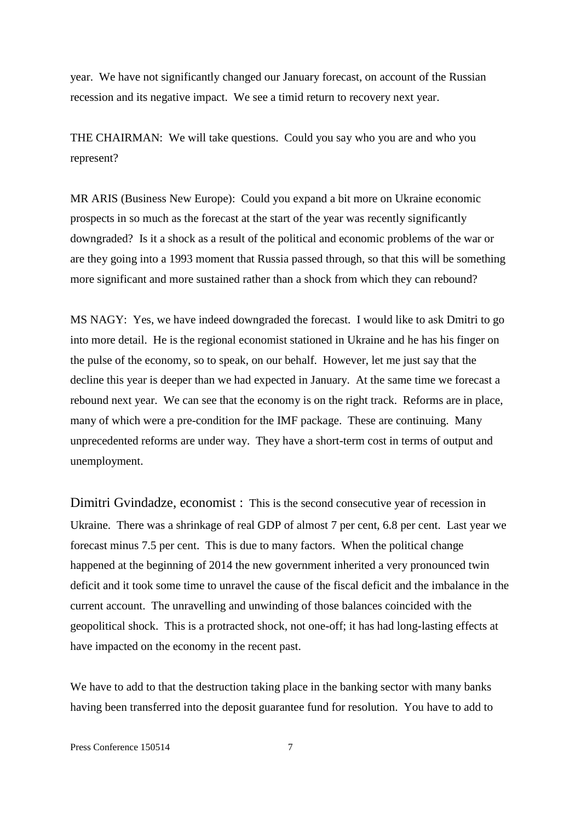year. We have not significantly changed our January forecast, on account of the Russian recession and its negative impact. We see a timid return to recovery next year.

THE CHAIRMAN: We will take questions. Could you say who you are and who you represent?

MR ARIS (Business New Europe): Could you expand a bit more on Ukraine economic prospects in so much as the forecast at the start of the year was recently significantly downgraded? Is it a shock as a result of the political and economic problems of the war or are they going into a 1993 moment that Russia passed through, so that this will be something more significant and more sustained rather than a shock from which they can rebound?

MS NAGY: Yes, we have indeed downgraded the forecast. I would like to ask Dmitri to go into more detail. He is the regional economist stationed in Ukraine and he has his finger on the pulse of the economy, so to speak, on our behalf. However, let me just say that the decline this year is deeper than we had expected in January. At the same time we forecast a rebound next year. We can see that the economy is on the right track. Reforms are in place, many of which were a pre-condition for the IMF package. These are continuing. Many unprecedented reforms are under way. They have a short-term cost in terms of output and unemployment.

Dimitri Gvindadze, economist : This is the second consecutive year of recession in Ukraine. There was a shrinkage of real GDP of almost 7 per cent, 6.8 per cent. Last year we forecast minus 7.5 per cent. This is due to many factors. When the political change happened at the beginning of 2014 the new government inherited a very pronounced twin deficit and it took some time to unravel the cause of the fiscal deficit and the imbalance in the current account. The unravelling and unwinding of those balances coincided with the geopolitical shock. This is a protracted shock, not one-off; it has had long-lasting effects at have impacted on the economy in the recent past.

We have to add to that the destruction taking place in the banking sector with many banks having been transferred into the deposit guarantee fund for resolution. You have to add to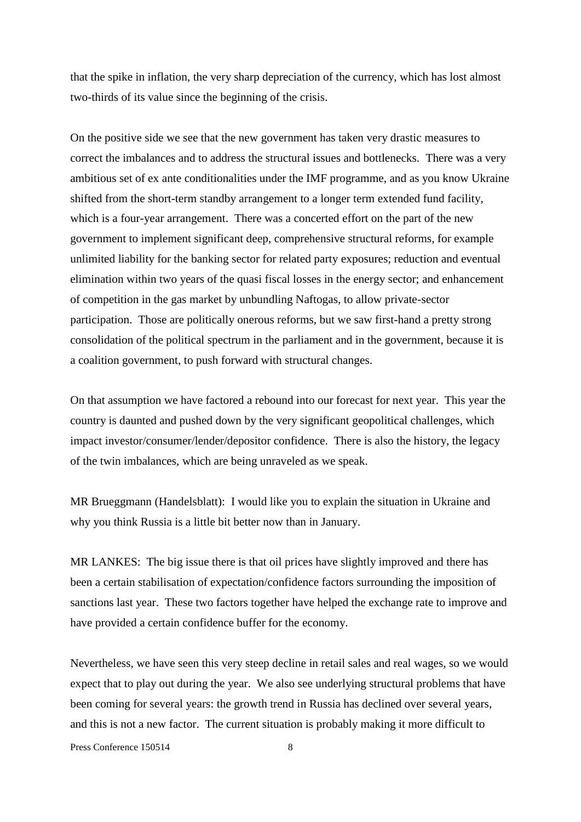that the spike in inflation, the very sharp depreciation of the currency, which has lost almost two-thirds of its value since the beginning of the crisis.

On the positive side we see that the new government has taken very drastic measures to correct the imbalances and to address the structural issues and bottlenecks. There was a very ambitious set of ex ante conditionalities under the IMF programme, and as you know Ukraine shifted from the short-term standby arrangement to a longer term extended fund facility, which is a four-year arrangement. There was a concerted effort on the part of the new government to implement significant deep, comprehensive structural reforms, for example unlimited liability for the banking sector for related party exposures; reduction and eventual elimination within two years of the quasi fiscal losses in the energy sector; and enhancement of competition in the gas market by unbundling Naftogas, to allow private-sector participation. Those are politically onerous reforms, but we saw first-hand a pretty strong consolidation of the political spectrum in the parliament and in the government, because it is a coalition government, to push forward with structural changes.

On that assumption we have factored a rebound into our forecast for next year. This year the country is daunted and pushed down by the very significant geopolitical challenges, which impact investor/consumer/lender/depositor confidence. There is also the history, the legacy of the twin imbalances, which are being unraveled as we speak.

MR Brueggmann (Handelsblatt): I would like you to explain the situation in Ukraine and why you think Russia is a little bit better now than in January.

MR LANKES: The big issue there is that oil prices have slightly improved and there has been a certain stabilisation of expectation/confidence factors surrounding the imposition of sanctions last year. These two factors together have helped the exchange rate to improve and have provided a certain confidence buffer for the economy.

Nevertheless, we have seen this very steep decline in retail sales and real wages, so we would expect that to play out during the year. We also see underlying structural problems that have been coming for several years: the growth trend in Russia has declined over several years, and this is not a new factor. The current situation is probably making it more difficult to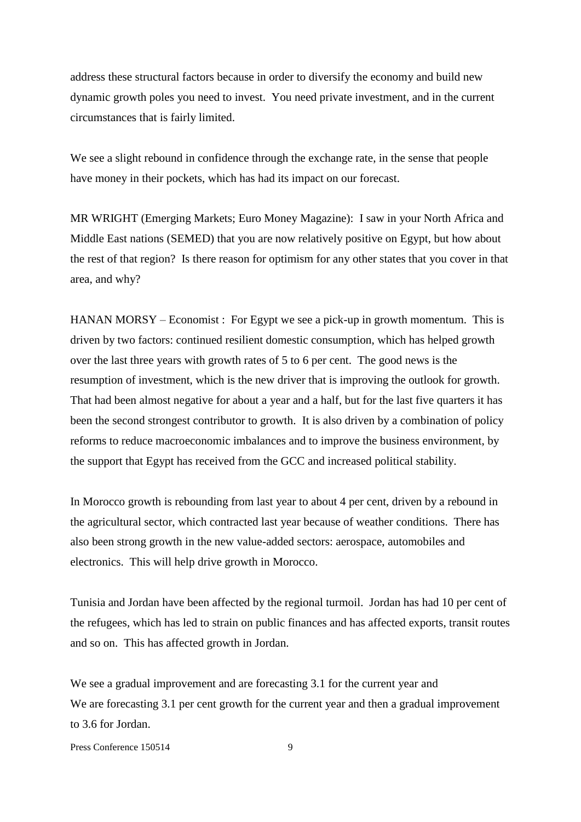address these structural factors because in order to diversify the economy and build new dynamic growth poles you need to invest. You need private investment, and in the current circumstances that is fairly limited.

We see a slight rebound in confidence through the exchange rate, in the sense that people have money in their pockets, which has had its impact on our forecast.

MR WRIGHT (Emerging Markets; Euro Money Magazine): I saw in your North Africa and Middle East nations (SEMED) that you are now relatively positive on Egypt, but how about the rest of that region? Is there reason for optimism for any other states that you cover in that area, and why?

HANAN MORSY – Economist : For Egypt we see a pick-up in growth momentum. This is driven by two factors: continued resilient domestic consumption, which has helped growth over the last three years with growth rates of 5 to 6 per cent. The good news is the resumption of investment, which is the new driver that is improving the outlook for growth. That had been almost negative for about a year and a half, but for the last five quarters it has been the second strongest contributor to growth. It is also driven by a combination of policy reforms to reduce macroeconomic imbalances and to improve the business environment, by the support that Egypt has received from the GCC and increased political stability.

In Morocco growth is rebounding from last year to about 4 per cent, driven by a rebound in the agricultural sector, which contracted last year because of weather conditions. There has also been strong growth in the new value-added sectors: aerospace, automobiles and electronics. This will help drive growth in Morocco.

Tunisia and Jordan have been affected by the regional turmoil. Jordan has had 10 per cent of the refugees, which has led to strain on public finances and has affected exports, transit routes and so on. This has affected growth in Jordan.

We see a gradual improvement and are forecasting 3.1 for the current year and We are forecasting 3.1 per cent growth for the current year and then a gradual improvement to 3.6 for Jordan.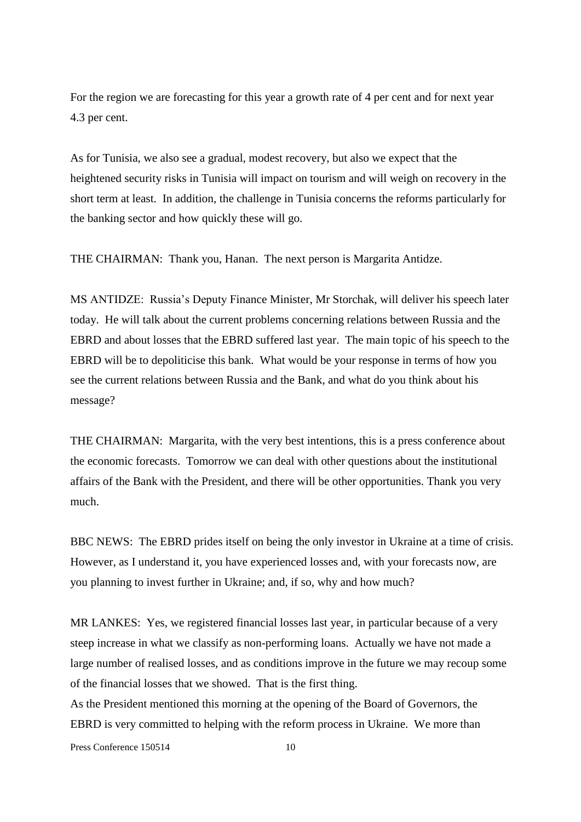For the region we are forecasting for this year a growth rate of 4 per cent and for next year 4.3 per cent.

As for Tunisia, we also see a gradual, modest recovery, but also we expect that the heightened security risks in Tunisia will impact on tourism and will weigh on recovery in the short term at least. In addition, the challenge in Tunisia concerns the reforms particularly for the banking sector and how quickly these will go.

THE CHAIRMAN: Thank you, Hanan. The next person is Margarita Antidze.

MS ANTIDZE: Russia's Deputy Finance Minister, Mr Storchak, will deliver his speech later today. He will talk about the current problems concerning relations between Russia and the EBRD and about losses that the EBRD suffered last year. The main topic of his speech to the EBRD will be to depoliticise this bank. What would be your response in terms of how you see the current relations between Russia and the Bank, and what do you think about his message?

THE CHAIRMAN: Margarita, with the very best intentions, this is a press conference about the economic forecasts. Tomorrow we can deal with other questions about the institutional affairs of the Bank with the President, and there will be other opportunities. Thank you very much.

BBC NEWS: The EBRD prides itself on being the only investor in Ukraine at a time of crisis. However, as I understand it, you have experienced losses and, with your forecasts now, are you planning to invest further in Ukraine; and, if so, why and how much?

MR LANKES: Yes, we registered financial losses last year, in particular because of a very steep increase in what we classify as non-performing loans. Actually we have not made a large number of realised losses, and as conditions improve in the future we may recoup some of the financial losses that we showed. That is the first thing.

As the President mentioned this morning at the opening of the Board of Governors, the EBRD is very committed to helping with the reform process in Ukraine. We more than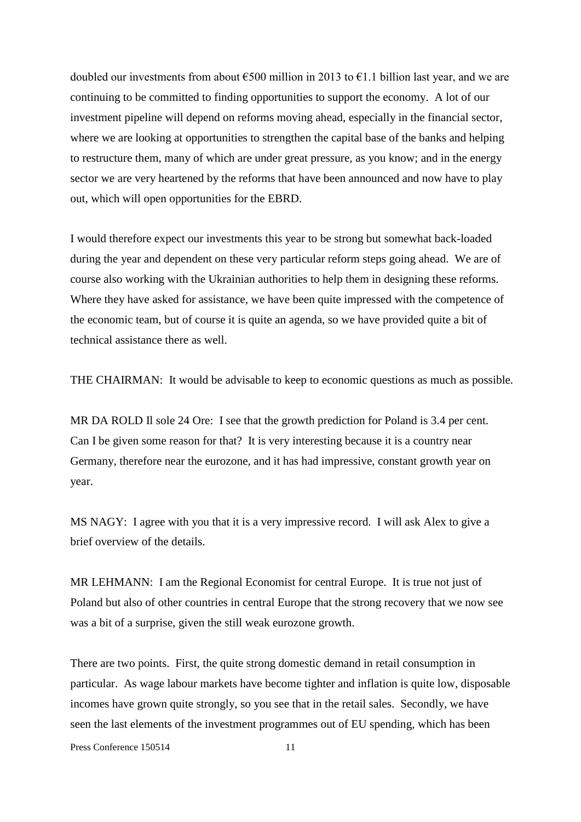doubled our investments from about  $\epsilon$ 500 million in 2013 to  $\epsilon$ 1.1 billion last year, and we are continuing to be committed to finding opportunities to support the economy. A lot of our investment pipeline will depend on reforms moving ahead, especially in the financial sector, where we are looking at opportunities to strengthen the capital base of the banks and helping to restructure them, many of which are under great pressure, as you know; and in the energy sector we are very heartened by the reforms that have been announced and now have to play out, which will open opportunities for the EBRD.

I would therefore expect our investments this year to be strong but somewhat back-loaded during the year and dependent on these very particular reform steps going ahead. We are of course also working with the Ukrainian authorities to help them in designing these reforms. Where they have asked for assistance, we have been quite impressed with the competence of the economic team, but of course it is quite an agenda, so we have provided quite a bit of technical assistance there as well.

THE CHAIRMAN: It would be advisable to keep to economic questions as much as possible.

MR DA ROLD II sole 24 Ore: I see that the growth prediction for Poland is 3.4 per cent. Can I be given some reason for that? It is very interesting because it is a country near Germany, therefore near the eurozone, and it has had impressive, constant growth year on year.

MS NAGY: I agree with you that it is a very impressive record. I will ask Alex to give a brief overview of the details.

MR LEHMANN: I am the Regional Economist for central Europe. It is true not just of Poland but also of other countries in central Europe that the strong recovery that we now see was a bit of a surprise, given the still weak eurozone growth.

There are two points. First, the quite strong domestic demand in retail consumption in particular. As wage labour markets have become tighter and inflation is quite low, disposable incomes have grown quite strongly, so you see that in the retail sales. Secondly, we have seen the last elements of the investment programmes out of EU spending, which has been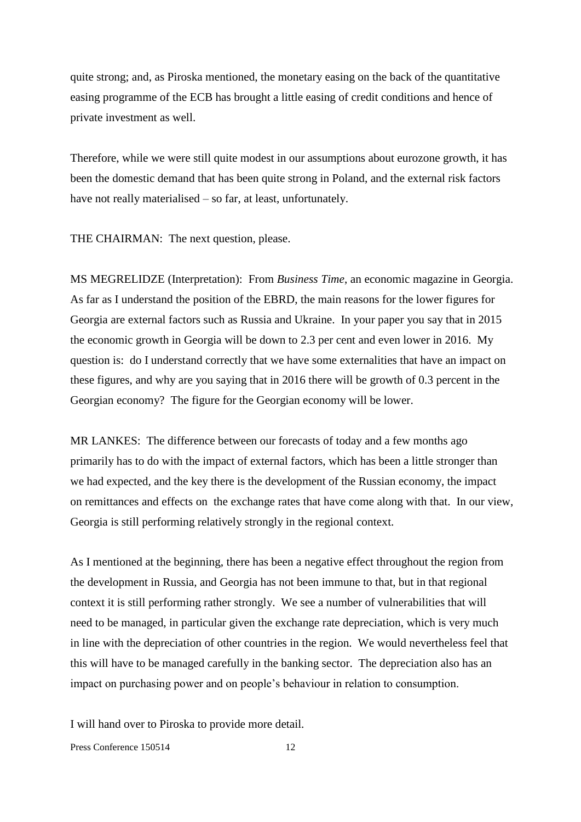quite strong; and, as Piroska mentioned, the monetary easing on the back of the quantitative easing programme of the ECB has brought a little easing of credit conditions and hence of private investment as well.

Therefore, while we were still quite modest in our assumptions about eurozone growth, it has been the domestic demand that has been quite strong in Poland, and the external risk factors have not really materialised – so far, at least, unfortunately.

THE CHAIRMAN: The next question, please.

MS MEGRELIDZE (Interpretation): From *Business Time*, an economic magazine in Georgia. As far as I understand the position of the EBRD, the main reasons for the lower figures for Georgia are external factors such as Russia and Ukraine. In your paper you say that in 2015 the economic growth in Georgia will be down to 2.3 per cent and even lower in 2016. My question is: do I understand correctly that we have some externalities that have an impact on these figures, and why are you saying that in 2016 there will be growth of 0.3 percent in the Georgian economy? The figure for the Georgian economy will be lower.

MR LANKES: The difference between our forecasts of today and a few months ago primarily has to do with the impact of external factors, which has been a little stronger than we had expected, and the key there is the development of the Russian economy, the impact on remittances and effects on the exchange rates that have come along with that. In our view, Georgia is still performing relatively strongly in the regional context.

As I mentioned at the beginning, there has been a negative effect throughout the region from the development in Russia, and Georgia has not been immune to that, but in that regional context it is still performing rather strongly. We see a number of vulnerabilities that will need to be managed, in particular given the exchange rate depreciation, which is very much in line with the depreciation of other countries in the region. We would nevertheless feel that this will have to be managed carefully in the banking sector. The depreciation also has an impact on purchasing power and on people's behaviour in relation to consumption.

I will hand over to Piroska to provide more detail.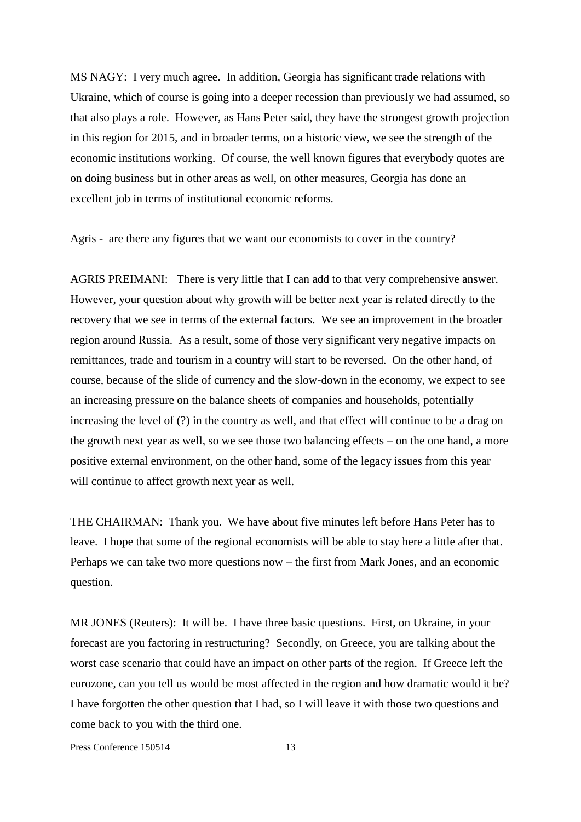MS NAGY: I very much agree. In addition, Georgia has significant trade relations with Ukraine, which of course is going into a deeper recession than previously we had assumed, so that also plays a role. However, as Hans Peter said, they have the strongest growth projection in this region for 2015, and in broader terms, on a historic view, we see the strength of the economic institutions working. Of course, the well known figures that everybody quotes are on doing business but in other areas as well, on other measures, Georgia has done an excellent job in terms of institutional economic reforms.

Agris - are there any figures that we want our economists to cover in the country?

AGRIS PREIMANI: There is very little that I can add to that very comprehensive answer. However, your question about why growth will be better next year is related directly to the recovery that we see in terms of the external factors. We see an improvement in the broader region around Russia. As a result, some of those very significant very negative impacts on remittances, trade and tourism in a country will start to be reversed. On the other hand, of course, because of the slide of currency and the slow-down in the economy, we expect to see an increasing pressure on the balance sheets of companies and households, potentially increasing the level of (?) in the country as well, and that effect will continue to be a drag on the growth next year as well, so we see those two balancing effects – on the one hand, a more positive external environment, on the other hand, some of the legacy issues from this year will continue to affect growth next year as well.

THE CHAIRMAN: Thank you. We have about five minutes left before Hans Peter has to leave. I hope that some of the regional economists will be able to stay here a little after that. Perhaps we can take two more questions now – the first from Mark Jones, and an economic question.

MR JONES (Reuters): It will be. I have three basic questions. First, on Ukraine, in your forecast are you factoring in restructuring? Secondly, on Greece, you are talking about the worst case scenario that could have an impact on other parts of the region. If Greece left the eurozone, can you tell us would be most affected in the region and how dramatic would it be? I have forgotten the other question that I had, so I will leave it with those two questions and come back to you with the third one.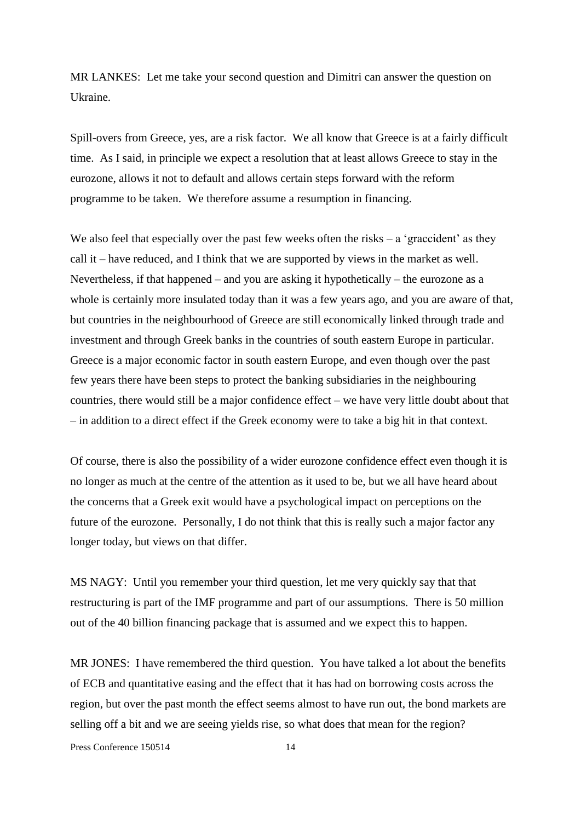MR LANKES: Let me take your second question and Dimitri can answer the question on Ukraine.

Spill-overs from Greece, yes, are a risk factor. We all know that Greece is at a fairly difficult time. As I said, in principle we expect a resolution that at least allows Greece to stay in the eurozone, allows it not to default and allows certain steps forward with the reform programme to be taken. We therefore assume a resumption in financing.

We also feel that especially over the past few weeks often the risks  $-$  a 'graccident' as they call it – have reduced, and I think that we are supported by views in the market as well. Nevertheless, if that happened – and you are asking it hypothetically – the eurozone as a whole is certainly more insulated today than it was a few years ago, and you are aware of that, but countries in the neighbourhood of Greece are still economically linked through trade and investment and through Greek banks in the countries of south eastern Europe in particular. Greece is a major economic factor in south eastern Europe, and even though over the past few years there have been steps to protect the banking subsidiaries in the neighbouring countries, there would still be a major confidence effect – we have very little doubt about that – in addition to a direct effect if the Greek economy were to take a big hit in that context.

Of course, there is also the possibility of a wider eurozone confidence effect even though it is no longer as much at the centre of the attention as it used to be, but we all have heard about the concerns that a Greek exit would have a psychological impact on perceptions on the future of the eurozone. Personally, I do not think that this is really such a major factor any longer today, but views on that differ.

MS NAGY: Until you remember your third question, let me very quickly say that that restructuring is part of the IMF programme and part of our assumptions. There is 50 million out of the 40 billion financing package that is assumed and we expect this to happen.

MR JONES: I have remembered the third question. You have talked a lot about the benefits of ECB and quantitative easing and the effect that it has had on borrowing costs across the region, but over the past month the effect seems almost to have run out, the bond markets are selling off a bit and we are seeing yields rise, so what does that mean for the region?